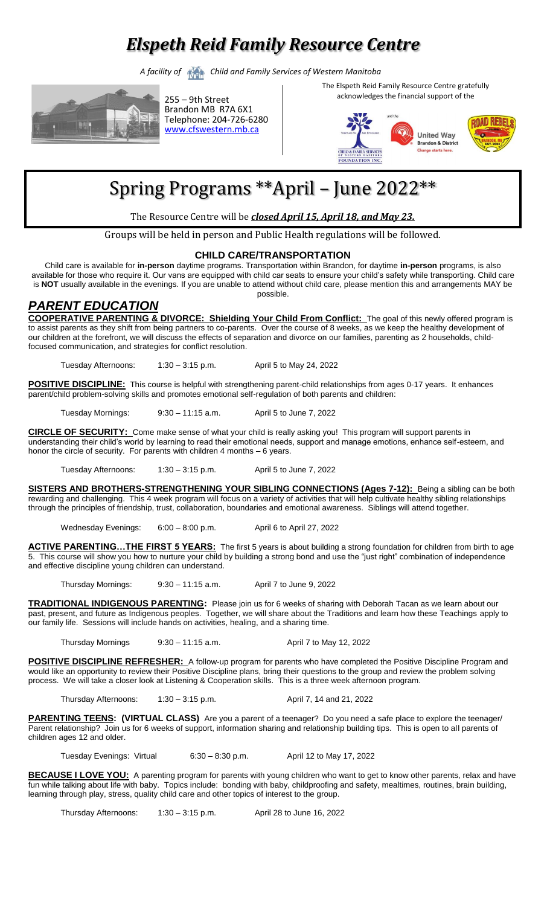## *Elspeth Reid Family Resource Centre*

*A facility of Child and Family Services of Western Manitoba*



255 – 9th Street Brandon MB R7A 6X1 Telephone: 204-726-6280 [www.cfswestern.mb.ca](http://www.cfswestern.mb.ca/)

The Elspeth Reid Family Resource Centre gratefully acknowledges the financial support of the



# Spring Programs \*\*April – June 2022\*\*

The Resource Centre will be *closed April 15, April 18, and May 23.* 

Groups will be held in person and Public Health regulations will be followed.

#### **CHILD CARE/TRANSPORTATION**

Child care is available for **in-person** daytime programs. Transportation within Brandon, for daytime **in-person** programs, is also available for those who require it. Our vans are equipped with child car seats to ensure your child's safety while transporting. Child care is **NOT** usually available in the evenings. If you are unable to attend without child care, please mention this and arrangements MAY be possible.

#### *PARENT EDUCATION*

**COOPERATIVE PARENTING & DIVORCE: Shielding Your Child From Conflict:** The goal of this newly offered program is to assist parents as they shift from being partners to co-parents. Over the course of 8 weeks, as we keep the healthy development of our children at the forefront, we will discuss the effects of separation and divorce on our families, parenting as 2 households, childfocused communication, and strategies for conflict resolution.

Tuesday Afternoons: 1:30 – 3:15 p.m. April 5 to May 24, 2022

POSITIVE DISCIPLINE: This course is helpful with strengthening parent-child relationships from ages 0-17 years. It enhances parent/child problem-solving skills and promotes emotional self-regulation of both parents and children:

Tuesday Mornings: 9:30 – 11:15 a.m. April 5 to June 7, 2022

**CIRCLE OF SECURITY:** Come make sense of what your child is really asking you! This program will support parents in understanding their child's world by learning to read their emotional needs, support and manage emotions, enhance self-esteem, and honor the circle of security. For parents with children 4 months – 6 years.

Tuesday Afternoons: 1:30 – 3:15 p.m. April 5 to June 7, 2022

**SISTERS AND BROTHERS-STRENGTHENING YOUR SIBLING CONNECTIONS (Ages 7-12):** Being a sibling can be both rewarding and challenging. This 4 week program will focus on a variety of activities that will help cultivate healthy sibling relationships through the principles of friendship, trust, collaboration, boundaries and emotional awareness. Siblings will attend together.

Wednesday Evenings: 6:00 - 8:00 p.m. April 6 to April 27, 2022

**ACTIVE PARENTING…THE FIRST 5 YEARS:** The first 5 years is about building a strong foundation for children from birth to age 5. This course will show you how to nurture your child by building a strong bond and use the "just right" combination of independence and effective discipline young children can understand.

Thursday Mornings: 9:30 – 11:15 a.m. April 7 to June 9, 2022

**TRADITIONAL INDIGENOUS PARENTING:** Please join us for 6 weeks of sharing with Deborah Tacan as we learn about our past, present, and future as Indigenous peoples. Together, we will share about the Traditions and learn how these Teachings apply to our family life. Sessions will include hands on activities, healing, and a sharing time.

Thursday Mornings 9:30 - 11:15 a.m. April 7 to May 12, 2022

**POSITIVE DISCIPLINE REFRESHER:** A follow-up program for parents who have completed the Positive Discipline Program and would like an opportunity to review their Positive Discipline plans, bring their questions to the group and review the problem solving process. We will take a closer look at Listening & Cooperation skills. This is a three week afternoon program.

Thursday Afternoons: 1:30 – 3:15 p.m. <br>April 7, 14 and 21, 2022

**PARENTING TEENS: (VIRTUAL CLASS)** Are you a parent of a teenager? Do you need a safe place to explore the teenager/ Parent relationship? Join us for 6 weeks of support, information sharing and relationship building tips. This is open to all parents of children ages 12 and older.

Tuesday Evenings: Virtual 6:30 – 8:30 p.m. April 12 to May 17, 2022

**BECAUSE I LOVE YOU:** A parenting program for parents with young children who want to get to know other parents, relax and have fun while talking about life with baby. Topics include: bonding with baby, childproofing and safety, mealtimes, routines, brain building, learning through play, stress, quality child care and other topics of interest to the group.

Thursday Afternoons: 1:30 – 3:15 p.m. April 28 to June 16, 2022